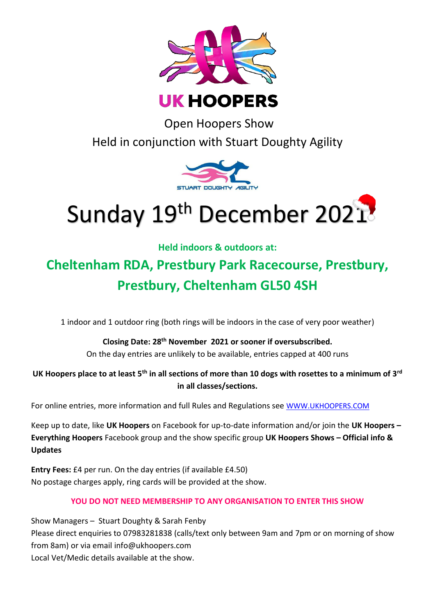

Open Hoopers Show Held in conjunction with Stuart Doughty Agility



# Sunday 19th December 2021

**Held indoors & outdoors at:**

# **Cheltenham RDA, Prestbury Park Racecourse, Prestbury, Prestbury, Cheltenham GL50 4SH**

1 indoor and 1 outdoor ring (both rings will be indoors in the case of very poor weather)

# **Closing Date: 28th November 2021 or sooner if oversubscribed.**

On the day entries are unlikely to be available, entries capped at 400 runs

# **UK Hoopers place to at least 5th in all sections of more than 10 dogs with rosettes to a minimum of 3rd in all classes/sections.**

For online entries, more information and full Rules and Regulations see [WWW.UKHOOPERS.COM](http://www.ukhoopers.com/)

Keep up to date, like **UK Hoopers** on Facebook for up-to-date information and/or join the **UK Hoopers – Everything Hoopers** Facebook group and the show specific group **UK Hoopers Shows – Official info & Updates**

**Entry Fees:** £4 per run. On the day entries (if available £4.50) No postage charges apply, ring cards will be provided at the show.

# **YOU DO NOT NEED MEMBERSHIP TO ANY ORGANISATION TO ENTER THIS SHOW**

Show Managers – Stuart Doughty & Sarah Fenby Please direct enquiries to 07983281838 (calls/text only between 9am and 7pm or on morning of show from 8am) or via email info@ukhoopers.com Local Vet/Medic details available at the show.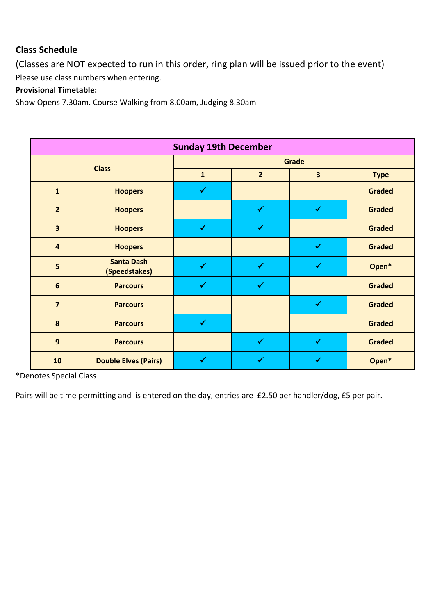# **Class Schedule**

(Classes are NOT expected to run in this order, ring plan will be issued prior to the event) Please use class numbers when entering.

# **Provisional Timetable:**

Show Opens 7.30am. Course Walking from 8.00am, Judging 8.30am

| <b>Sunday 19th December</b> |                                    |              |                |                         |               |  |  |
|-----------------------------|------------------------------------|--------------|----------------|-------------------------|---------------|--|--|
| <b>Class</b>                |                                    | Grade        |                |                         |               |  |  |
|                             |                                    | $\mathbf{1}$ | $\overline{2}$ | $\overline{\mathbf{3}}$ | <b>Type</b>   |  |  |
| $\mathbf{1}$                | <b>Hoopers</b>                     | $\checkmark$ |                |                         | <b>Graded</b> |  |  |
| $\overline{2}$              | <b>Hoopers</b>                     |              | $\checkmark$   | $\checkmark$            | <b>Graded</b> |  |  |
| $\overline{\mathbf{3}}$     | <b>Hoopers</b>                     | $\checkmark$ | $\checkmark$   |                         | <b>Graded</b> |  |  |
| $\overline{\mathbf{4}}$     | <b>Hoopers</b>                     |              |                | $\checkmark$            | <b>Graded</b> |  |  |
| $\overline{\mathbf{5}}$     | <b>Santa Dash</b><br>(Speedstakes) | $\checkmark$ | $\checkmark$   | $\checkmark$            | Open*         |  |  |
| $6\phantom{1}6$             | <b>Parcours</b>                    | $\checkmark$ | $\checkmark$   |                         | <b>Graded</b> |  |  |
| $\overline{\mathbf{z}}$     | <b>Parcours</b>                    |              |                | $\checkmark$            | <b>Graded</b> |  |  |
| 8                           | <b>Parcours</b>                    | $\checkmark$ |                |                         | <b>Graded</b> |  |  |
| $\mathbf{9}$                | <b>Parcours</b>                    |              | $\checkmark$   | $\checkmark$            | <b>Graded</b> |  |  |
| 10                          | <b>Double Elves (Pairs)</b>        | $\checkmark$ | ✔              | ✔                       | Open*         |  |  |

\*Denotes Special Class

Pairs will be time permitting and is entered on the day, entries are £2.50 per handler/dog, £5 per pair.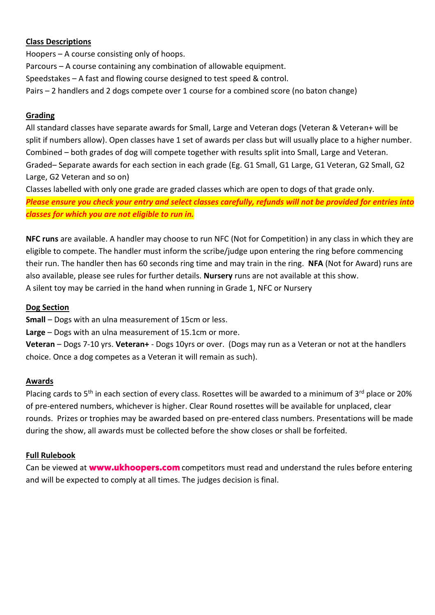#### **Class Descriptions**

Hoopers – A course consisting only of hoops. Parcours – A course containing any combination of allowable equipment. Speedstakes – A fast and flowing course designed to test speed & control. Pairs – 2 handlers and 2 dogs compete over 1 course for a combined score (no baton change)

#### **Grading**

All standard classes have separate awards for Small, Large and Veteran dogs (Veteran & Veteran+ will be split if numbers allow). Open classes have 1 set of awards per class but will usually place to a higher number. Combined – both grades of dog will compete together with results split into Small, Large and Veteran. Graded– Separate awards for each section in each grade (Eg. G1 Small, G1 Large, G1 Veteran, G2 Small, G2 Large, G2 Veteran and so on)

Classes labelled with only one grade are graded classes which are open to dogs of that grade only. *Please ensure you check your entry and select classes carefully, refunds will not be provided for entries into classes for which you are not eligible to run in.*

**NFC runs** are available. A handler may choose to run NFC (Not for Competition) in any class in which they are eligible to compete. The handler must inform the scribe/judge upon entering the ring before commencing their run. The handler then has 60 seconds ring time and may train in the ring. **NFA** (Not for Award) runs are also available, please see rules for further details. **Nursery** runs are not available at this show. A silent toy may be carried in the hand when running in Grade 1, NFC or Nursery

#### **Dog Section**

**Small** – Dogs with an ulna measurement of 15cm or less.

**Large** – Dogs with an ulna measurement of 15.1cm or more.

**Veteran** – Dogs 7-10 yrs. **Veteran+** - Dogs 10yrs or over. (Dogs may run as a Veteran or not at the handlers choice. Once a dog competes as a Veteran it will remain as such).

#### **Awards**

Placing cards to 5<sup>th</sup> in each section of every class. Rosettes will be awarded to a minimum of 3<sup>rd</sup> place or 20% of pre-entered numbers, whichever is higher. Clear Round rosettes will be available for unplaced, clear rounds. Prizes or trophies may be awarded based on pre-entered class numbers. Presentations will be made during the show, all awards must be collected before the show closes or shall be forfeited.

### **Full Rulebook**

Canbe viewed at **www.ukhoopers.com** competitors must read and understand the rules before entering and will be expected to comply at all times. The judges decision is final.